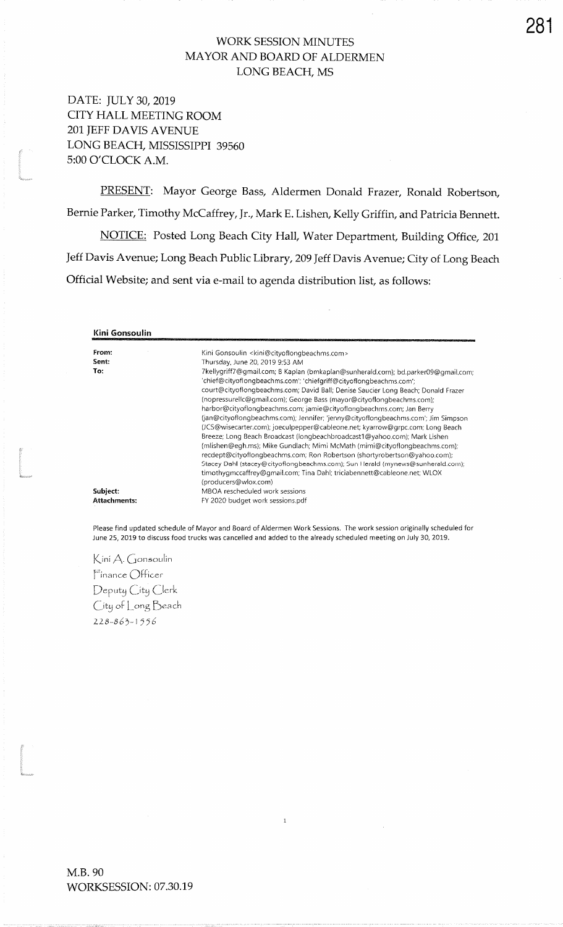# WORK SESSION MINUTES MAYOR AND BOARD OF ALDERMENLONG BEACH, MS

DATE: IULY 30,2019 CITY HALL MEETING ROOM2Ol IEFF DAVIS AVENUELONG BEACH, MISSISSIPPI 39560 5:00 O'CLOCK A.M.

t<br>1980<br>Marcon

ta a series a construction and the construction of the construction of the construction of the construction of<br>The construction of the construction of the construction of the construction of the construction of the constr<br>

t<br>Standard<br>Standard

PRESENT: Mayor George Bass, Aldermen Donald Frazer, Ronald Robertson, Bernie Parker, Timothy McCaffrey, Jr., Mark E. Lishen, Kelly Griffin, and Patricia Bennett. NOTICE: Posted Long Beach City Hall, Water Department, Building Office, 201 Jeff Davis Avenue; Long Beach Public Library,2Og leff Davis Avenue; City of Long BeachOfficial Website; and sent via e-mail to agenda distribution list, as follows:

| Kini Gonsoulin      |                                                                                                                                                                                                                                                                                                                                                                                                    |
|---------------------|----------------------------------------------------------------------------------------------------------------------------------------------------------------------------------------------------------------------------------------------------------------------------------------------------------------------------------------------------------------------------------------------------|
| From:               | Kini Gonsoulin <kini@cityoflongbeachms.com></kini@cityoflongbeachms.com>                                                                                                                                                                                                                                                                                                                           |
| Sent:               | Thursday, June 20, 2019 9:53 AM                                                                                                                                                                                                                                                                                                                                                                    |
| To:                 | 7kellygriff7@gmail.com; B Kaplan (bmkaplan@sunherald.com); bd.parker09@gmail.com;<br>'chief@cityoflongbeachms.com'; 'chiefgriff@cityoflongbeachms.com';<br>court@cityoflongbeachms.com; David Ball; Denise Saucier Long Beach; Donald Frazer                                                                                                                                                       |
|                     | (nopressurellc@gmail.com); George Bass (mayor@cityoflongbeachms.com);<br>harbor@cityoflongbeachms.com; jamie@cityoflongbeachms.com; Jan Berry<br>(jan@cityoflongbeachms.com); Jennifer; 'jenny@cityoflongbeachms.com'; Jim Simpson<br>(JCS@wisecarter.com); joeculpepper@cableone.net; kyarrow@grpc.com; Long Beach                                                                                |
|                     | Breeze; Long Beach Broadcast (longbeachbroadcast1@yahoo.com); Mark Lishen<br>(mlishen@egh.ms); Mike Gundlach; Mimi McMath (mimi@cityoflongbeachms.com);<br>recdept@cityoflongbeachms.com; Ron Robertson (shortyrobertson@yahoo.com);<br>Stacey Dahl (stacey@cityoflongbeachms.com); Sun Herald (mynews@sunherald.com);<br>timothygmccaffrey@gmail.com; Tina Dahl; triciabennett@cableone.net; WLOX |
| Subject:            | (producers@wlox.com)<br>MBOA rescheduled work sessions                                                                                                                                                                                                                                                                                                                                             |
| <b>Attachments:</b> | FY 2020 budget work sessions.pdf                                                                                                                                                                                                                                                                                                                                                                   |

Please find updated schedule of Mayor and Board of Aldermen Work Sessions. The work session originally scheduled forJune 25, 2019 to discuss food trucks was cancelled and added to the already scheduled meeting on July 30, 2019.

 $\mathbf{1}$ 

Kini A. Gonsoulin  $Finance$   $Officer$  $\overline{D}$ eputy  $\overline{C}$ ity  $\overline{C}$ lerk (ity of  $\lfloor$  ong  $\upbeta$ each  $228 - 863 - 1556$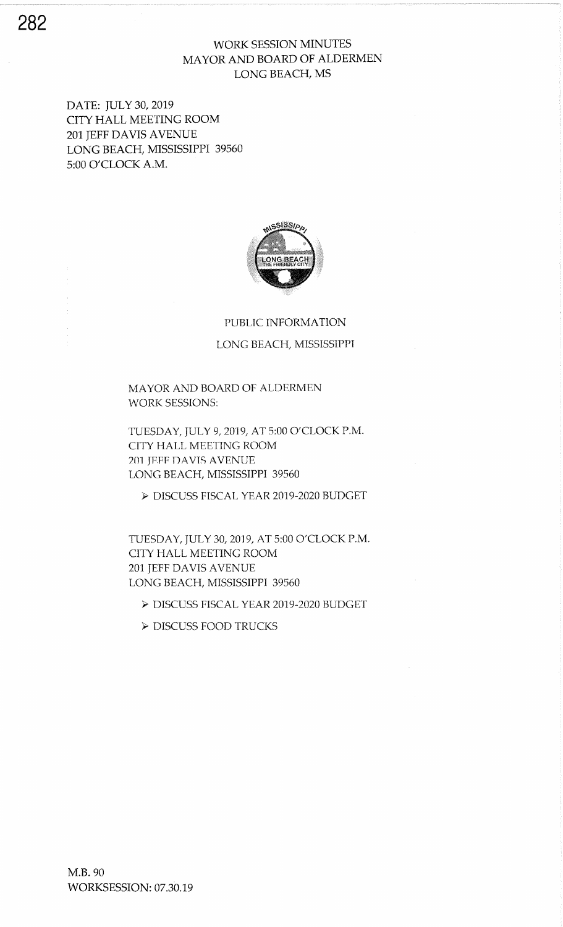## WORK SESSION MINUTES MAYOR AND BOARD OF ALDERMEN LONG BEACH, MS

DATE: JULY 30, 2019 CITY HALL MEETING ROOM 2Ol IEFF DAVIS AVENUE LONG BEACH, MISSISSIPPI 39550 5:00 O'CLOCK A.M.



#### PUBLIC INFORMATION

### LONG BEACH, MISSISSPPI

MAYOR AND BOARD OF ALDERMEN WORK SESSIONS:

TUESDAY, JULY 9, 2019, AT 5:00 O'CLOCK P.M. CITY HALL MEETING ROOM 201 JEFF DAVIS AVENUE LONG BEACH, MISSISSIPPI 39560

> DISCUSS FISCAL YEAR 2019-2020 BUDGET

TUESDAY, JULY 30, 2019, AT 5:00 O'CLOCK P.M. CITY HALL MEETING ROOM 201 JEFF DAVIS AVENUE LONG BEACH, MISSISSIPPI 39560

> DISCUSS FISCAL YEAR 2019.2020 BUDGET

> DISCUSS FOOD TRUCKS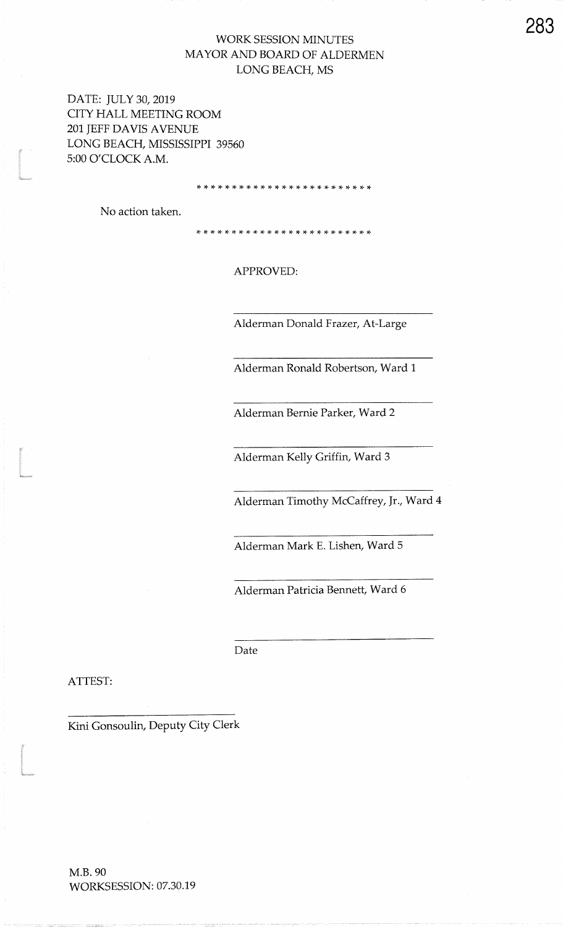## WORK SESSION MINUTES MAYOR AND BOARD OF ALDERMENLONG BEACFI, MS

DATE: IULY 30,2019 CITY HALL MEETING ROOM201 JEFF DAVIS AVENUE LONG BEACH, MISSISSIPPI 395605:00 O'CLOCK A.M.5:00 O'CLOCK A.M

,t rt rt rF rF \* \* \* rF \* rF rt rF rt )t rT rl. \* \* \* rt rt rt rT :T

No action taken.

)t rt \* \* \* \* rt \* \* \* \* rt rF \* ri rF rF rF :t rF rF r+ rt rF rt

APPROVED:

Alderman Donald Frazer, At-Large

Alderman Ronald Robertson, Ward 1

Alderman Bernie Parker, Ward2

Alderman Kelly Griffin, Ward 3

Alderman Timothy McCaffrey, Jr., Ward 4

Alderman Mark E. Lishen, Ward 5

Alderman Patricia Bennett, Ward 6

Date

ATTEST:

)<br>|<br>|approvale

t

Kini Gonsoulin, Deputy City Clerk

283